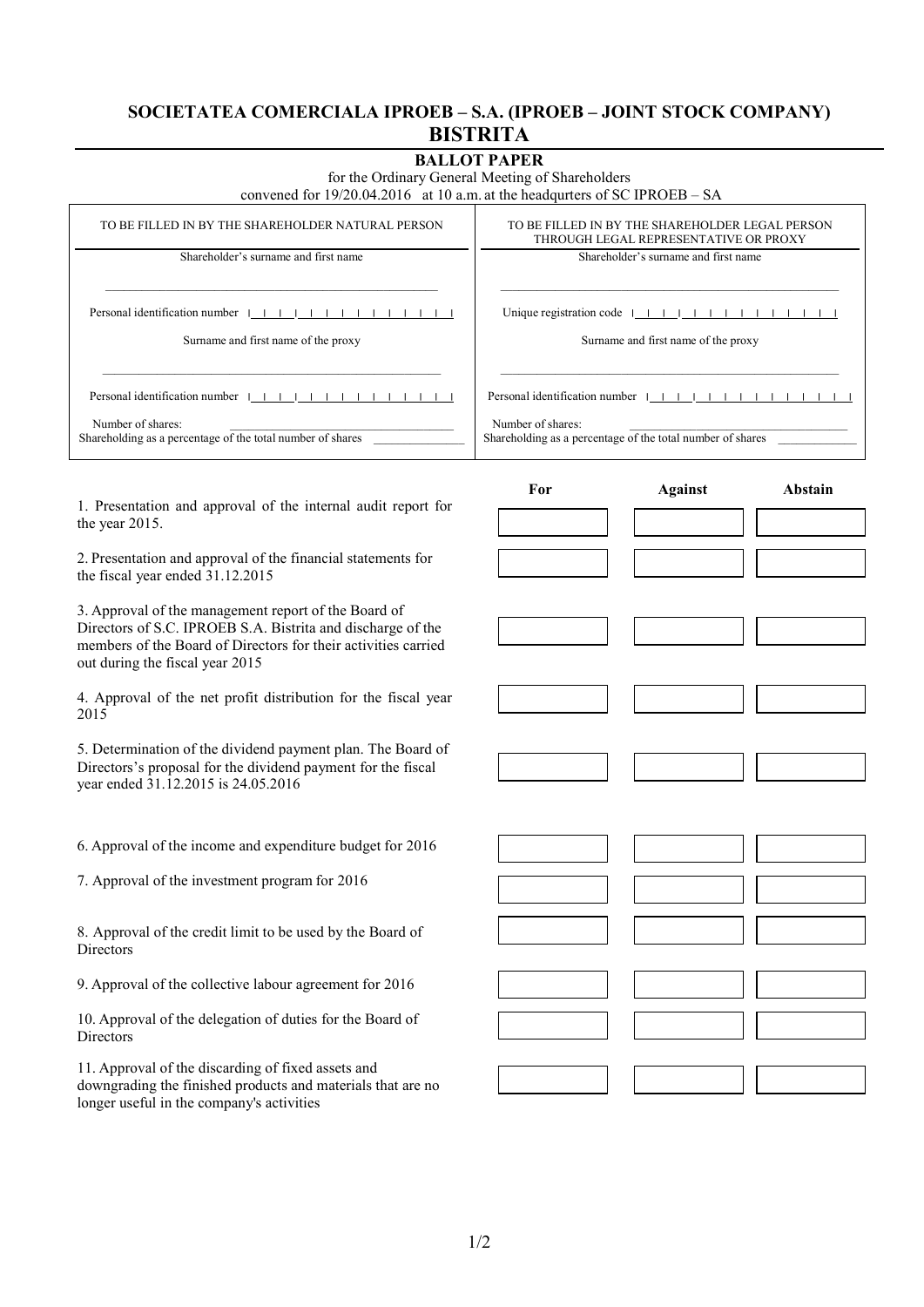## **SOCIETATEA COMERCIALA IPROEB – S.A. (IPROEB – JOINT STOCK COMPANY) BISTRITA**

| <b>BALLOT PAPER</b>                                                                                                                                                                                                      |                                                                                          |                |         |
|--------------------------------------------------------------------------------------------------------------------------------------------------------------------------------------------------------------------------|------------------------------------------------------------------------------------------|----------------|---------|
| for the Ordinary General Meeting of Shareholders<br>convened for 19/20.04.2016 at 10 a.m. at the headqurters of SC IPROEB - SA                                                                                           |                                                                                          |                |         |
| TO BE FILLED IN BY THE SHAREHOLDER NATURAL PERSON                                                                                                                                                                        | TO BE FILLED IN BY THE SHAREHOLDER LEGAL PERSON<br>THROUGH LEGAL REPRESENTATIVE OR PROXY |                |         |
| Shareholder's surname and first name                                                                                                                                                                                     | Shareholder's surname and first name                                                     |                |         |
| Personal identification number $  +   +   +   +   +   +   +   +  $                                                                                                                                                       |                                                                                          |                |         |
| Surname and first name of the proxy                                                                                                                                                                                      | Surname and first name of the proxy                                                      |                |         |
| Personal identification number $1 + 1 + 1 + 1 + 1 + 1 + 1 + 1$                                                                                                                                                           | Personal identification number $1 + 1 + 1 + 1 + 1 + 1 + 1 + 1$                           |                |         |
| Number of shares:<br>Shareholding as a percentage of the total number of shares                                                                                                                                          | Number of shares:<br>Shareholding as a percentage of the total number of shares          |                |         |
| 1. Presentation and approval of the internal audit report for<br>the year 2015.                                                                                                                                          | For                                                                                      | <b>Against</b> | Abstain |
|                                                                                                                                                                                                                          |                                                                                          |                |         |
| 2. Presentation and approval of the financial statements for<br>the fiscal year ended 31.12.2015                                                                                                                         |                                                                                          |                |         |
| 3. Approval of the management report of the Board of<br>Directors of S.C. IPROEB S.A. Bistrita and discharge of the<br>members of the Board of Directors for their activities carried<br>out during the fiscal year 2015 |                                                                                          |                |         |
|                                                                                                                                                                                                                          |                                                                                          |                |         |
| 4. Approval of the net profit distribution for the fiscal year<br>2015                                                                                                                                                   |                                                                                          |                |         |
| 5. Determination of the dividend payment plan. The Board of<br>Directors's proposal for the dividend payment for the fiscal<br>year ended 31.12.2015 is 24.05.2016                                                       |                                                                                          |                |         |
|                                                                                                                                                                                                                          |                                                                                          |                |         |
| 6. Approval of the income and expenditure budget for 2016                                                                                                                                                                |                                                                                          |                |         |
| 7. Approval of the investment program for 2016                                                                                                                                                                           |                                                                                          |                |         |
| 8. Approval of the credit limit to be used by the Board of<br>Directors                                                                                                                                                  |                                                                                          |                |         |
| 9. Approval of the collective labour agreement for 2016                                                                                                                                                                  |                                                                                          |                |         |
| 10. Approval of the delegation of duties for the Board of<br>Directors                                                                                                                                                   |                                                                                          |                |         |
| 11. Approval of the discarding of fixed assets and<br>downgrading the finished products and materials that are no                                                                                                        |                                                                                          |                |         |
| longer useful in the company's activities                                                                                                                                                                                |                                                                                          |                |         |